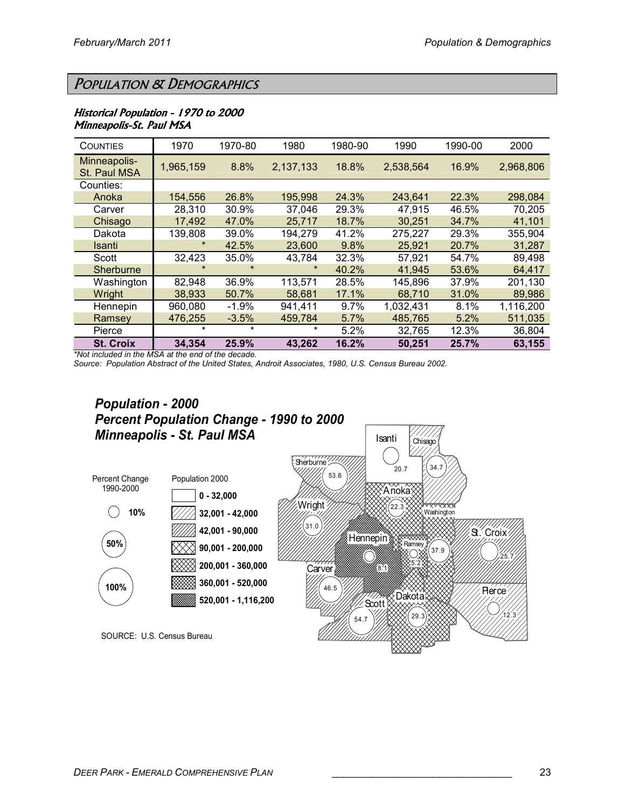# POPULATION & DEMOGRAPHICS

### Historical Population - 1970 to 2000 Minneapolis-St. Paul MSA

| <b>COUNTIES</b>              | 1970          | 1970-80 | 1980      | 1980-90 | 1990      | 1990-00 | 2000      |
|------------------------------|---------------|---------|-----------|---------|-----------|---------|-----------|
| Minneapolis-<br>St. Paul MSA | 1,965,159     | 8.8%    | 2,137,133 | 18.8%   | 2,538,564 | 16.9%   | 2,968,806 |
| Counties:                    |               |         |           |         |           |         |           |
| Anoka                        | 154,556       | 26.8%   | 195,998   | 24.3%   | 243,641   | 22.3%   | 298,084   |
| Carver                       | 28,310        | 30.9%   | 37,046    | 29.3%   | 47,915    | 46.5%   | 70,205    |
| Chisago                      | 17,492        | 47.0%   | 25,717    | 18.7%   | 30,251    | 34.7%   | 41,101    |
| Dakota                       | 139,808       | 39.0%   | 194,279   | 41.2%   | 275,227   | 29.3%   | 355,904   |
| Isanti                       | $\star$       | 42.5%   | 23,600    | 9.8%    | 25,921    | 20.7%   | 31,287    |
| Scott                        | 32,423        | 35.0%   | 43.784    | 32.3%   | 57.921    | 54.7%   | 89.498    |
| Sherburne                    | $\pmb{\star}$ | $\star$ | $\star$   | 40.2%   | 41,945    | 53.6%   | 64,417    |
| Washington                   | 82,948        | 36.9%   | 113,571   | 28.5%   | 145,896   | 37.9%   | 201,130   |
| Wright                       | 38,933        | 50.7%   | 58,681    | 17.1%   | 68,710    | 31.0%   | 89,986    |
| Hennepin                     | 960,080       | $-1.9%$ | 941,411   | 9.7%    | 1,032,431 | 8.1%    | 1,116,200 |
| Ramsey                       | 476,255       | $-3.5%$ | 459,784   | 5.7%    | 485,765   | 5.2%    | 511,035   |
| Pierce                       | $\star$       | $\star$ | $\star$   | 5.2%    | 32,765    | 12.3%   | 36,804    |
| <b>St. Croix</b>             | 34,354        | 25.9%   | 43.262    | 16.2%   | 50,251    | 25.7%   | 63,155    |

\*Not included in the MSA at the end of the decade.

Source: Population Abstract of the United States, Androit Associates, 1980, U.S. Census Bureau 2002.

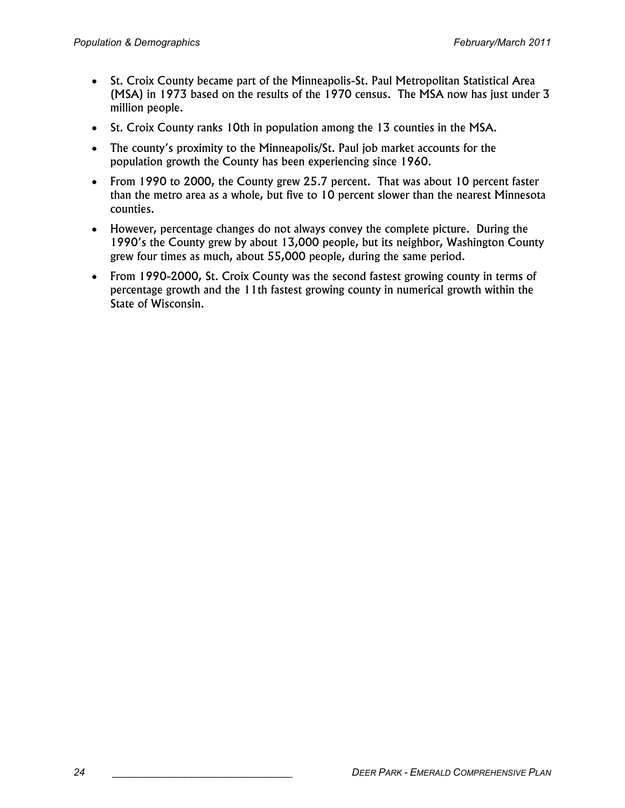- St. Croix County became part of the Minneapolis-St. Paul Metropolitan Statistical Area (MSA) in 1973 based on the results of the 1970 census. The MSA now has just under 3 million people.
- St. Croix County ranks 10th in population among the 13 counties in the MSA.
- The county's proximity to the Minneapolis/St. Paul job market accounts for the population growth the County has been experiencing since 1960.
- From 1990 to 2000, the County grew 25.7 percent. That was about 10 percent faster than the metro area as a whole, but five to 10 percent slower than the nearest Minnesota counties.
- However, percentage changes do not always convey the complete picture. During the 1990's the County grew by about 13,000 people, but its neighbor, Washington County grew four times as much, about 55,000 people, during the same period.
- From 1990-2000, St. Croix County was the second fastest growing county in terms of percentage growth and the 11th fastest growing county in numerical growth within the State of Wisconsin.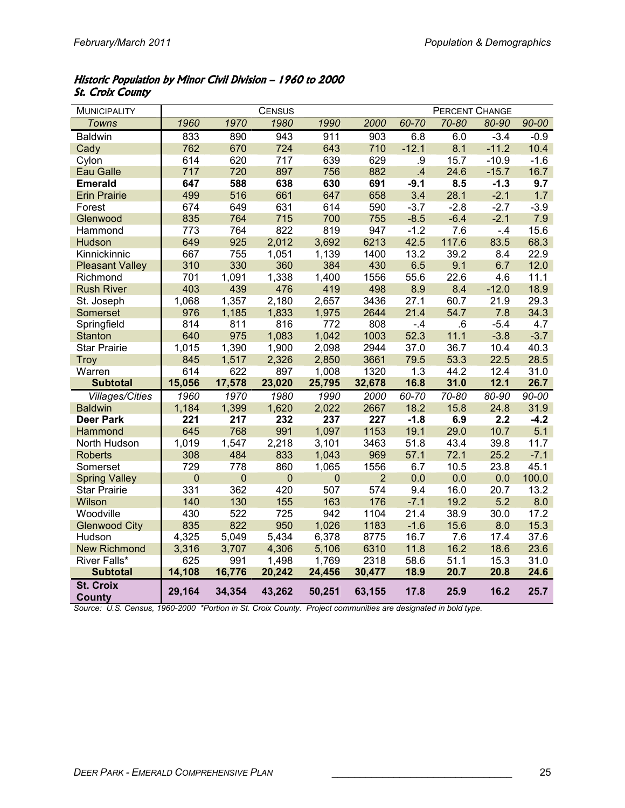### Historic Population by Minor Civil Division – 1960 to 2000 **St. Croix County**

| <b>MUNICIPALITY</b>               |             |             | <b>CENSUS</b> |             |                |              | <b>PERCENT CHANGE</b> |         |           |
|-----------------------------------|-------------|-------------|---------------|-------------|----------------|--------------|-----------------------|---------|-----------|
| <b>Towns</b>                      | 1960        | 1970        | 1980          | 1990        | 2000           | 60-70        | 70-80                 | 80-90   | 90-00     |
| Baldwin                           | 833         | 890         | 943           | 911         | 903            | 6.8          | 6.0                   | $-3.4$  | $-0.9$    |
| Cady                              | 762         | 670         | 724           | 643         | 710            | $-12.1$      | 8.1                   | $-11.2$ | 10.4      |
| Cylon                             | 614         | 620         | 717           | 639         | 629            | .9           | 15.7                  | $-10.9$ | $-1.6$    |
| <b>Eau Galle</b>                  | 717         | 720         | 897           | 756         | 882            | $\mathbf{A}$ | 24.6                  | $-15.7$ | 16.7      |
| <b>Emerald</b>                    | 647         | 588         | 638           | 630         | 691            | $-9.1$       | 8.5                   | $-1.3$  | 9.7       |
| <b>Erin Prairie</b>               | 499         | 516         | 661           | 647         | 658            | 3.4          | 28.1                  | $-2.1$  | 1.7       |
| Forest                            | 674         | 649         | 631           | 614         | 590            | $-3.7$       | $-2.8$                | $-2.7$  | $-3.9$    |
| Glenwood                          | 835         | 764         | 715           | 700         | 755            | $-8.5$       | $-6.4$                | $-2.1$  | 7.9       |
| Hammond                           | 773         | 764         | 822           | 819         | 947            | $-1.2$       | 7.6                   | $-4$    | 15.6      |
| Hudson                            | 649         | 925         | 2,012         | 3,692       | 6213           | 42.5         | 117.6                 | 83.5    | 68.3      |
| Kinnickinnic                      | 667         | 755         | 1,051         | 1,139       | 1400           | 13.2         | 39.2                  | 8.4     | 22.9      |
| <b>Pleasant Valley</b>            | 310         | 330         | 360           | 384         | 430            | 6.5          | 9.1                   | 6.7     | 12.0      |
| Richmond                          | 701         | 1,091       | 1,338         | 1,400       | 1556           | 55.6         | 22.6                  | 4.6     | 11.1      |
| <b>Rush River</b>                 | 403         | 439         | 476           | 419         | 498            | 8.9          | 8.4                   | $-12.0$ | 18.9      |
| St. Joseph                        | 1,068       | 1,357       | 2,180         | 2,657       | 3436           | 27.1         | 60.7                  | 21.9    | 29.3      |
| Somerset                          | 976         | 1,185       | 1,833         | 1,975       | 2644           | 21.4         | 54.7                  | 7.8     | 34.3      |
| Springfield                       | 814         | 811         | 816           | 772         | 808            | $-.4$        | 6.6                   | $-5.4$  | 4.7       |
| <b>Stanton</b>                    | 640         | 975         | 1,083         | 1,042       | 1003           | 52.3         | 11.1                  | $-3.8$  | $-3.7$    |
| <b>Star Prairie</b>               | 1,015       | 1,390       | 1,900         | 2,098       | 2944           | 37.0         | 36.7                  | 10.4    | 40.3      |
| Troy                              | 845         | 1,517       | 2,326         | 2,850       | 3661           | 79.5         | 53.3                  | 22.5    | 28.5      |
| Warren                            | 614         | 622         | 897           | 1,008       | 1320           | 1.3          | 44.2                  | 12.4    | 31.0      |
| <b>Subtotal</b>                   | 15,056      | 17,578      | 23,020        | 25,795      | 32,678         | 16.8         | 31.0                  | 12.1    | 26.7      |
| <b>Villages/Cities</b>            | 1960        | 1970        | 1980          | 1990        | 2000           | 60-70        | 70-80                 | 80-90   | $90 - 00$ |
| <b>Baldwin</b>                    | 1,184       | 1,399       | 1,620         | 2,022       | 2667           | 18.2         | 15.8                  | 24.8    | 31.9      |
| <b>Deer Park</b>                  | 221         | 217         | 232           | 237         | 227            | $-1.8$       | 6.9                   | 2.2     | $-4.2$    |
| Hammond                           | 645         | 768         | 991           | 1,097       | 1153           | 19.1         | 29.0                  | 10.7    | 5.1       |
| North Hudson                      | 1,019       | 1,547       | 2,218         | 3,101       | 3463           | 51.8         | 43.4                  | 39.8    | 11.7      |
| <b>Roberts</b>                    | 308         | 484         | 833           | 1,043       | 969            | 57.1         | 72.1                  | 25.2    | $-7.1$    |
| Somerset                          | 729         | 778         | 860           | 1,065       | 1556           | 6.7          | 10.5                  | 23.8    | 45.1      |
| <b>Spring Valley</b>              | $\mathbf 0$ | $\mathbf 0$ | $\mathbf 0$   | $\mathbf 0$ | $\overline{2}$ | 0.0          | 0.0                   | 0.0     | 100.0     |
| <b>Star Prairie</b>               | 331         | 362         | 420           | 507         | 574            | 9.4          | 16.0                  | 20.7    | 13.2      |
| Wilson                            | 140         | 130         | 155           | 163         | 176            | $-7.1$       | 19.2                  | 5.2     | 8.0       |
| Woodville                         | 430         | 522         | 725           | 942         | 1104           | 21.4         | 38.9                  | 30.0    | 17.2      |
| <b>Glenwood City</b>              | 835         | 822         | 950           | 1,026       | 1183           | $-1.6$       | 15.6                  | 8.0     | 15.3      |
| Hudson                            | 4,325       | 5,049       | 5,434         | 6,378       | 8775           | 16.7         | 7.6                   | 17.4    | 37.6      |
| <b>New Richmond</b>               | 3,316       | 3,707       | 4,306         | 5,106       | 6310           | 11.8         | 16.2                  | 18.6    | 23.6      |
| River Falls*                      | 625         | 991         | 1,498         | 1,769       | 2318           | 58.6         | 51.1                  | 15.3    | 31.0      |
| <b>Subtotal</b>                   | 14,108      | 16,776      | 20,242        | 24,456      | 30,477         | 18.9         | 20.7                  | 20.8    | 24.6      |
| <b>St. Croix</b><br><b>County</b> | 29,164      | 34,354      | 43,262        | 50,251      | 63,155         | 17.8         | 25.9                  | 16.2    | 25.7      |

Source: U.S. Census, 1960-2000 \*Portion in St. Croix County. Project communities are designated in bold type.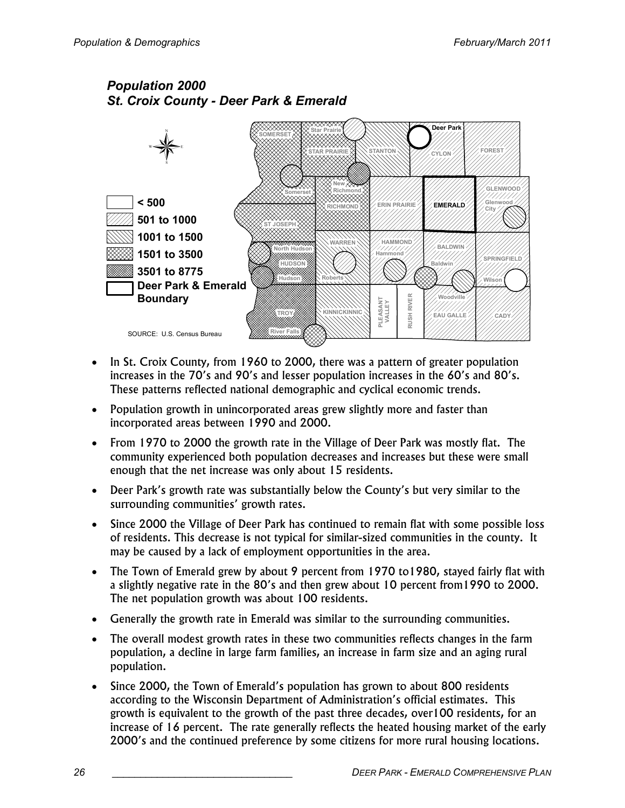## Population 2000 St. Croix County - Deer Park & Emerald



- In St. Croix County, from 1960 to 2000, there was a pattern of greater population increases in the 70's and 90's and lesser population increases in the 60's and 80's. These patterns reflected national demographic and cyclical economic trends.
- Population growth in unincorporated areas grew slightly more and faster than incorporated areas between 1990 and 2000.
- From 1970 to 2000 the growth rate in the Village of Deer Park was mostly flat. The community experienced both population decreases and increases but these were small enough that the net increase was only about 15 residents.
- Deer Park's growth rate was substantially below the County's but very similar to the surrounding communities' growth rates.
- Since 2000 the Village of Deer Park has continued to remain flat with some possible loss of residents. This decrease is not typical for similar-sized communities in the county. It may be caused by a lack of employment opportunities in the area.
- The Town of Emerald grew by about 9 percent from 1970 to1980, stayed fairly flat with a slightly negative rate in the 80's and then grew about 10 percent from1990 to 2000. The net population growth was about 100 residents.
- Generally the growth rate in Emerald was similar to the surrounding communities.
- The overall modest growth rates in these two communities reflects changes in the farm population, a decline in large farm families, an increase in farm size and an aging rural population.
- Since 2000, the Town of Emerald's population has grown to about 800 residents according to the Wisconsin Department of Administration's official estimates. This growth is equivalent to the growth of the past three decades, over100 residents, for an increase of 16 percent. The rate generally reflects the heated housing market of the early 2000's and the continued preference by some citizens for more rural housing locations.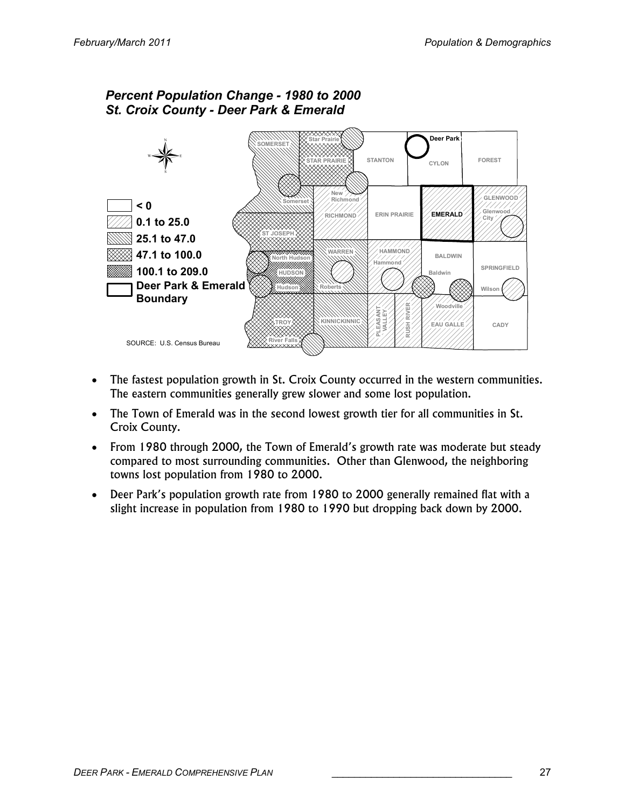

- The fastest population growth in St. Croix County occurred in the western communities. The eastern communities generally grew slower and some lost population.
- The Town of Emerald was in the second lowest growth tier for all communities in St. Croix County.
- From 1980 through 2000, the Town of Emerald's growth rate was moderate but steady compared to most surrounding communities. Other than Glenwood, the neighboring towns lost population from 1980 to 2000.
- Deer Park's population growth rate from 1980 to 2000 generally remained flat with a slight increase in population from 1980 to 1990 but dropping back down by 2000.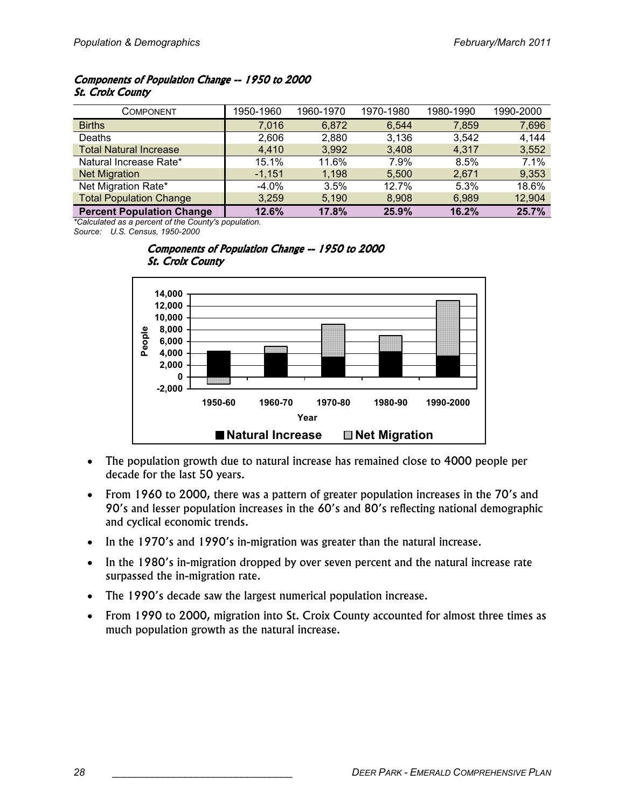### Components of Population Change -- 1950 to 2000 **St. Croix County**

| COMPONENT                        | 1950-1960 | 1960-1970 | 1970-1980 | 1980-1990 | 1990-2000 |
|----------------------------------|-----------|-----------|-----------|-----------|-----------|
| <b>Births</b>                    | 7.016     | 6,872     | 6,544     | 7,859     | 7,696     |
| Deaths                           | 2,606     | 2,880     | 3.136     | 3,542     | 4,144     |
| <b>Total Natural Increase</b>    | 4,410     | 3,992     | 3,408     | 4,317     | 3,552     |
| Natural Increase Rate*           | 15.1%     | 11.6%     | 7.9%      | 8.5%      | 7.1%      |
| <b>Net Migration</b>             | $-1,151$  | 1,198     | 5,500     | 2,671     | 9,353     |
| Net Migration Rate*              | $-4.0%$   | 3.5%      | 12.7%     | 5.3%      | 18.6%     |
| <b>Total Population Change</b>   | 3,259     | 5,190     | 8,908     | 6,989     | 12,904    |
| <b>Percent Population Change</b> | 12.6%     | 17.8%     | 25.9%     | 16.2%     | 25.7%     |

\*Calculated as a percent of the County's population. Source: U.S. Census, 1950-2000



#### Components of Population Change -- 1950 to 2000 **St. Croix County**

- The population growth due to natural increase has remained close to 4000 people per decade for the last 50 years.
- From 1960 to 2000, there was a pattern of greater population increases in the 70's and 90's and lesser population increases in the 60's and 80's reflecting national demographic and cyclical economic trends.
- In the 1970's and 1990's in-migration was greater than the natural increase.
- In the 1980's in-migration dropped by over seven percent and the natural increase rate surpassed the in-migration rate.
- The 1990's decade saw the largest numerical population increase.
- From 1990 to 2000, migration into St. Croix County accounted for almost three times as much population growth as the natural increase.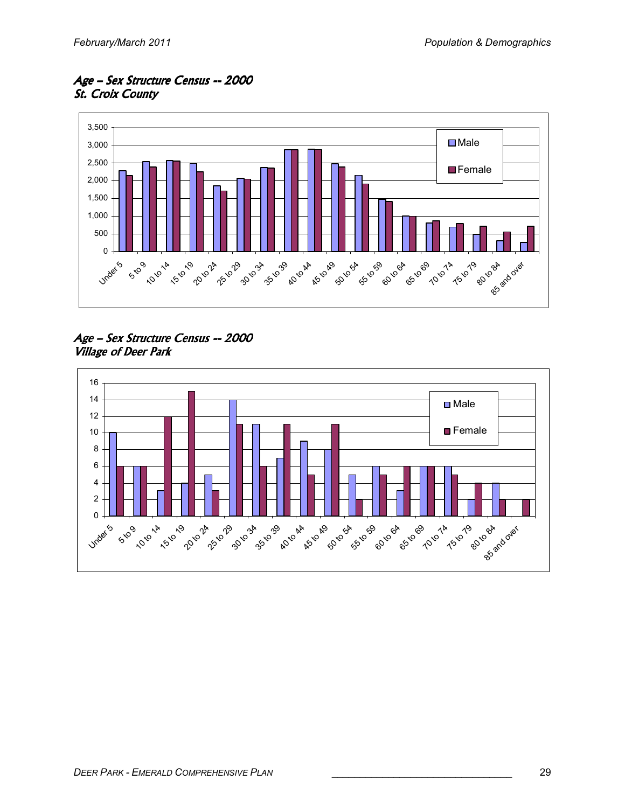Age – Sex Structure Census --2000 **St. Croix County** 



Age - Sex Structure Census -- 2000 Village of Deer Park

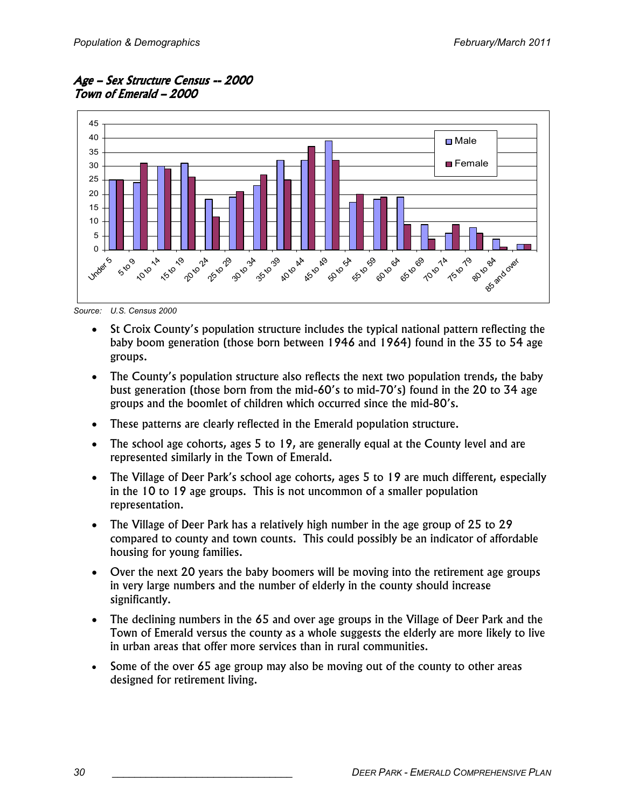Age – Sex Structure Census --2000 Town of Emerald - 2000



Source: U.S. Census 2000

- St Croix County's population structure includes the typical national pattern reflecting the baby boom generation (those born between 1946 and 1964) found in the 35 to 54 age groups.
- The County's population structure also reflects the next two population trends, the baby bust generation (those born from the mid-60's to mid-70's) found in the 20 to 34 age groups and the boomlet of children which occurred since the mid-80's.
- These patterns are clearly reflected in the Emerald population structure.
- The school age cohorts, ages 5 to 19, are generally equal at the County level and are represented similarly in the Town of Emerald.
- The Village of Deer Park's school age cohorts, ages 5 to 19 are much different, especially in the 10 to 19 age groups. This is not uncommon of a smaller population representation.
- The Village of Deer Park has a relatively high number in the age group of 25 to 29 compared to county and town counts. This could possibly be an indicator of affordable housing for young families.
- Over the next 20 years the baby boomers will be moving into the retirement age groups in very large numbers and the number of elderly in the county should increase significantly.
- The declining numbers in the 65 and over age groups in the Village of Deer Park and the Town of Emerald versus the county as a whole suggests the elderly are more likely to live in urban areas that offer more services than in rural communities.
- Some of the over 65 age group may also be moving out of the county to other areas designed for retirement living.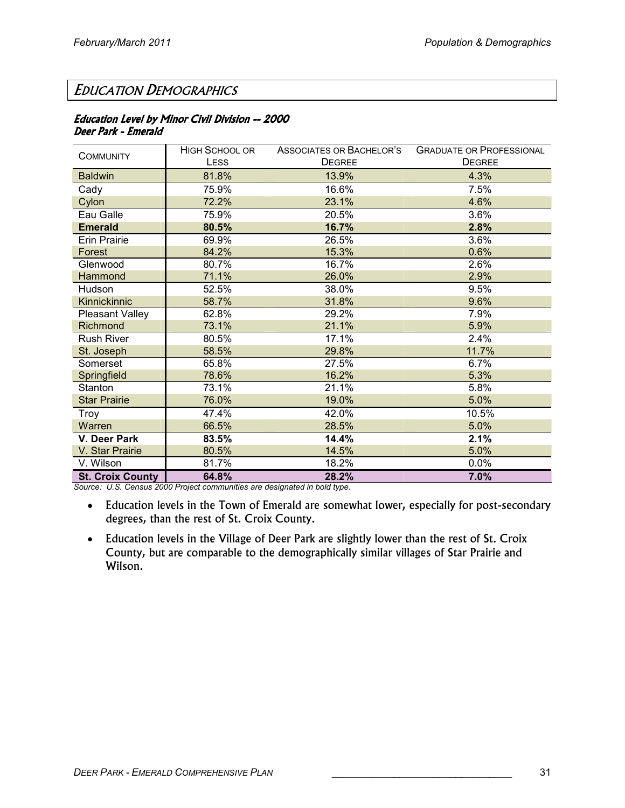# EDUCATION DEMOGRAPHICS

### Education Level by Minor Civil Division -- 2000 Deer Park - Emerald

| <b>COMMUNITY</b>        | <b>HIGH SCHOOL OR</b> | ASSOCIATES OR BACHELOR'S | <b>GRADUATE OR PROFESSIONAL</b> |
|-------------------------|-----------------------|--------------------------|---------------------------------|
|                         | LESS                  | <b>DEGREE</b>            | <b>DEGREE</b>                   |
| <b>Baldwin</b>          | 81.8%                 | 13.9%                    | 4.3%                            |
| Cady                    | 75.9%                 | 16.6%                    | 7.5%                            |
| Cylon                   | 72.2%                 | 23.1%                    | 4.6%                            |
| Eau Galle               | 75.9%                 | 20.5%                    | 3.6%                            |
| <b>Emerald</b>          | 80.5%                 | 16.7%                    | 2.8%                            |
| <b>Erin Prairie</b>     | 69.9%                 | 26.5%                    | 3.6%                            |
| Forest                  | 84.2%                 | 15.3%                    | 0.6%                            |
| Glenwood                | 80.7%                 | 16.7%                    | 2.6%                            |
| Hammond                 | 71.1%                 | 26.0%                    | 2.9%                            |
| Hudson                  | 52.5%                 | 38.0%                    | 9.5%                            |
| Kinnickinnic            | 58.7%                 | 31.8%                    | 9.6%                            |
| Pleasant Valley         | 62.8%                 | 29.2%                    | 7.9%                            |
| Richmond                | 73.1%                 | 21.1%                    | 5.9%                            |
| <b>Rush River</b>       | 80.5%                 | 17.1%                    | 2.4%                            |
| St. Joseph              | 58.5%                 | 29.8%                    | 11.7%                           |
| Somerset                | 65.8%                 | 27.5%                    | 6.7%                            |
| Springfield             | 78.6%                 | 16.2%                    | 5.3%                            |
| Stanton                 | 73.1%                 | 21.1%                    | 5.8%                            |
| <b>Star Prairie</b>     | 76.0%                 | 19.0%                    | 5.0%                            |
| Troy                    | 47.4%                 | 42.0%                    | 10.5%                           |
| Warren                  | 66.5%                 | 28.5%                    | 5.0%                            |
| V. Deer Park            | 83.5%                 | 14.4%                    | 2.1%                            |
| V. Star Prairie         | 80.5%                 | 14.5%                    | 5.0%                            |
| V. Wilson               | 81.7%                 | 18.2%                    | 0.0%                            |
| <b>St. Croix County</b> | 64.8%                 | 28.2%                    | 7.0%                            |

Source: U.S. Census 2000 Project communities are designated in bold type.

- Education levels in the Town of Emerald are somewhat lower, especially for post-secondary degrees, than the rest of St. Croix County.
- Education levels in the Village of Deer Park are slightly lower than the rest of St. Croix County, but are comparable to the demographically similar villages of Star Prairie and Wilson.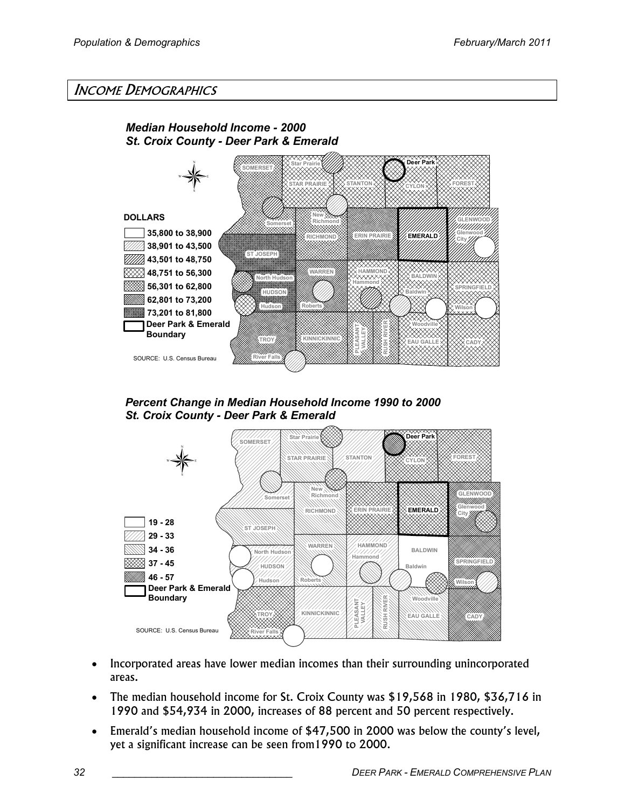# INCOME DEMOGRAPHICS



Percent Change in Median Household Income 1990 to 2000 St. Croix County - Deer Park & Emerald



- Incorporated areas have lower median incomes than their surrounding unincorporated areas.
- The median household income for St. Croix County was \$19,568 in 1980, \$36,716 in 1990 and \$54,934 in 2000, increases of 88 percent and 50 percent respectively.
- Emerald's median household income of \$47,500 in 2000 was below the county's level, yet a significant increase can be seen from1990 to 2000.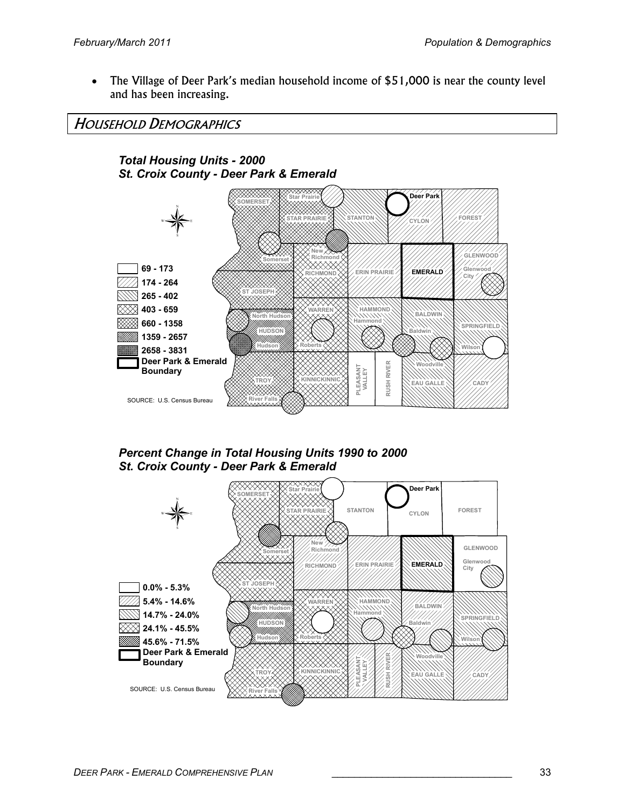• The Village of Deer Park's median household income of \$51,000 is near the county level and has been increasing.

HOUSEHOLD DEMOGRAPHICS



Percent Change in Total Housing Units 1990 to 2000 St. Croix County - Deer Park & Emerald

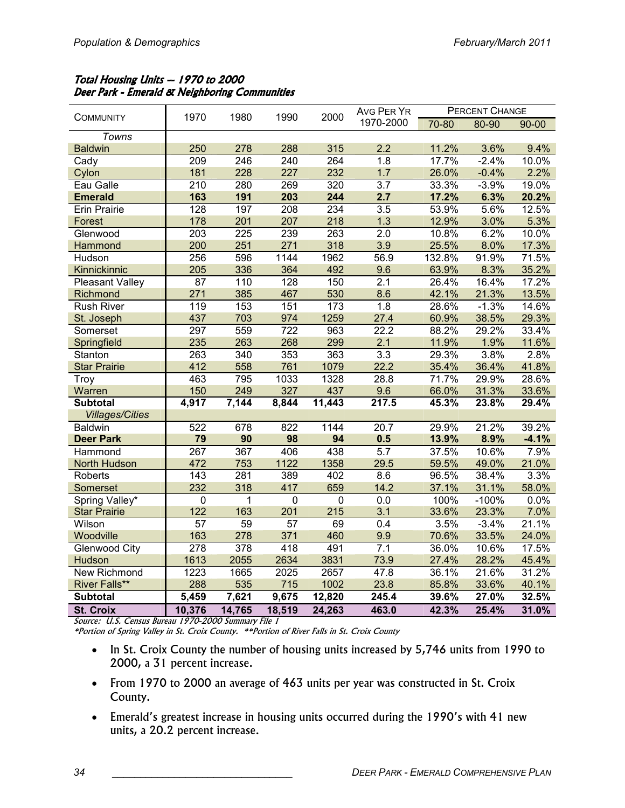### Total Housing Units -- 1970 to 2000 Deer Park - Emerald & Neighboring Communities

|                        | 1970             | 1980   | 1990             | 2000             | <b>AVG PER YR</b> |        | PERCENT CHANGE |           |
|------------------------|------------------|--------|------------------|------------------|-------------------|--------|----------------|-----------|
| <b>COMMUNITY</b>       |                  |        |                  |                  | 1970-2000         | 70-80  | 80-90          | $90 - 00$ |
| Towns                  |                  |        |                  |                  |                   |        |                |           |
| <b>Baldwin</b>         | 250              | 278    | 288              | 315              | 2.2               | 11.2%  | 3.6%           | 9.4%      |
| Cady                   | 209              | 246    | 240              | 264              | 1.8               | 17.7%  | $-2.4%$        | 10.0%     |
| Cylon                  | 181              | 228    | 227              | 232              | 1.7               | 26.0%  | $-0.4%$        | 2.2%      |
| Eau Galle              | $\overline{210}$ | 280    | 269              | 320              | $\overline{3.7}$  | 33.3%  | $-3.9%$        | 19.0%     |
| <b>Emerald</b>         | 163              | 191    | 203              | 244              | 2.7               | 17.2%  | 6.3%           | 20.2%     |
| <b>Erin Prairie</b>    | 128              | 197    | $\overline{208}$ | 234              | 3.5               | 53.9%  | 5.6%           | 12.5%     |
| Forest                 | 178              | 201    | 207              | 218              | 1.3               | 12.9%  | 3.0%           | 5.3%      |
| Glenwood               | 203              | 225    | 239              | 263              | 2.0               | 10.8%  | 6.2%           | 10.0%     |
| Hammond                | 200              | 251    | 271              | 318              | 3.9               | 25.5%  | 8.0%           | 17.3%     |
| Hudson                 | 256              | 596    | 1144             | 1962             | 56.9              | 132.8% | 91.9%          | 71.5%     |
| Kinnickinnic           | 205              | 336    | 364              | 492              | 9.6               | 63.9%  | 8.3%           | 35.2%     |
| <b>Pleasant Valley</b> | 87               | 110    | 128              | 150              | $\overline{2.1}$  | 26.4%  | 16.4%          | 17.2%     |
| Richmond               | 271              | 385    | 467              | 530              | 8.6               | 42.1%  | 21.3%          | 13.5%     |
| <b>Rush River</b>      | $\overline{119}$ | 153    | 151              | $\overline{173}$ | 1.8               | 28.6%  | $-1.3%$        | 14.6%     |
| St. Joseph             | 437              | 703    | 974              | 1259             | 27.4              | 60.9%  | 38.5%          | 29.3%     |
| Somerset               | 297              | 559    | 722              | 963              | 22.2              | 88.2%  | 29.2%          | 33.4%     |
| Springfield            | 235              | 263    | 268              | 299              | 2.1               | 11.9%  | 1.9%           | 11.6%     |
| Stanton                | 263              | 340    | 353              | 363              | $\overline{3.3}$  | 29.3%  | 3.8%           | 2.8%      |
| <b>Star Prairie</b>    | 412              | 558    | 761              | 1079             | 22.2              | 35.4%  | 36.4%          | 41.8%     |
| Troy                   | 463              | 795    | 1033             | 1328             | 28.8              | 71.7%  | 29.9%          | 28.6%     |
| Warren                 | 150              | 249    | 327              | 437              | 9.6               | 66.0%  | 31.3%          | 33.6%     |
| <b>Subtotal</b>        | 4,917            | 7,144  | 8,844            | 11,443           | 217.5             | 45.3%  | 23.8%          | 29.4%     |
| <b>Villages/Cities</b> |                  |        |                  |                  |                   |        |                |           |
| <b>Baldwin</b>         | 522              | 678    | 822              | 1144             | 20.7              | 29.9%  | 21.2%          | 39.2%     |
| <b>Deer Park</b>       | 79               | 90     | 98               | 94               | 0.5               | 13.9%  | 8.9%           | $-4.1%$   |
| Hammond                | 267              | 367    | 406              | 438              | $\overline{5.7}$  | 37.5%  | 10.6%          | 7.9%      |
| North Hudson           | 472              | 753    | 1122             | 1358             | 29.5              | 59.5%  | 49.0%          | 21.0%     |
| Roberts                | $\overline{143}$ | 281    | 389              | 402              | 8.6               | 96.5%  | 38.4%          | 3.3%      |
| Somerset               | 232              | 318    | 417              | 659              | 14.2              | 37.1%  | 31.1%          | 58.0%     |
| Spring Valley*         | $\overline{0}$   | 1      | $\overline{0}$   | $\mathbf 0$      | $\overline{0.0}$  | 100%   | $-100%$        | 0.0%      |
| <b>Star Prairie</b>    | 122              | 163    | 201              | 215              | 3.1               | 33.6%  | 23.3%          | 7.0%      |
| Wilson                 | 57               | 59     | 57               | 69               | 0.4               | 3.5%   | $-3.4%$        | 21.1%     |
| Woodville              | 163              | 278    | 371              | 460              | 9.9               | 70.6%  | 33.5%          | 24.0%     |
| <b>Glenwood City</b>   | 278              | 378    | 418              | 491              | 7.1               | 36.0%  | 10.6%          | 17.5%     |
| Hudson                 | 1613             | 2055   | 2634             | 3831             | 73.9              | 27.4%  | 28.2%          | 45.4%     |
| New Richmond           | 1223             | 1665   | 2025             | 2657             | 47.8              | 36.1%  | 21.6%          | 31.2%     |
| <b>River Falls**</b>   | 288              | 535    | 715              | 1002             | 23.8              | 85.8%  | 33.6%          | 40.1%     |
| <b>Subtotal</b>        | 5,459            | 7,621  | 9,675            | 12,820           | 245.4             | 39.6%  | 27.0%          | 32.5%     |
| <b>St. Croix</b>       | 10,376           | 14,765 | 18,519           | 24,263           | 463.0             | 42.3%  | 25.4%          | 31.0%     |

Source: U.S. Census Bureau 1970-2000 Summary File 1

\*Portion of Spring Valley in St. Croix County. \*\*Portion of River Falls in St. Croix County

- In St. Croix County the number of housing units increased by 5,746 units from 1990 to 2000, a 31 percent increase.
- From 1970 to 2000 an average of 463 units per year was constructed in St. Croix County.
- Emerald's greatest increase in housing units occurred during the 1990's with 41 new units, a 20.2 percent increase.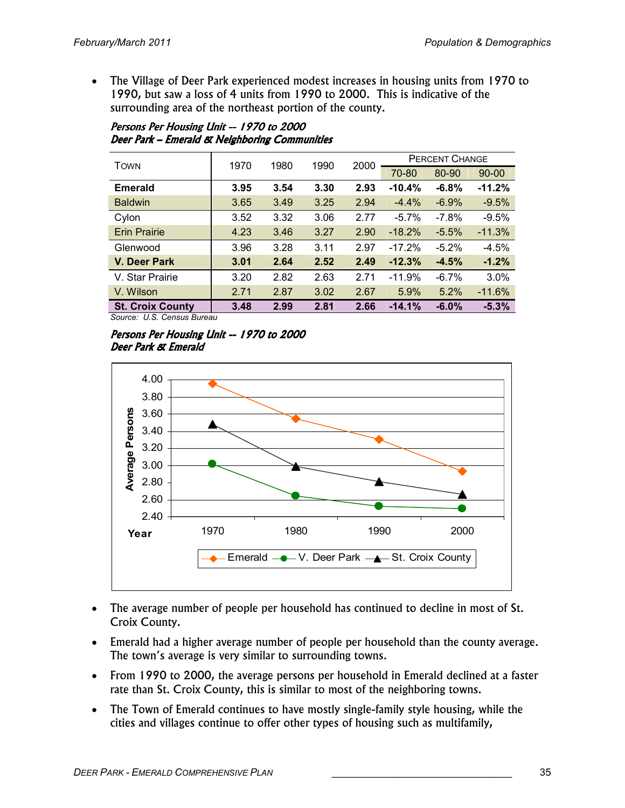• The Village of Deer Park experienced modest increases in housing units from 1970 to 1990, but saw a loss of 4 units from 1990 to 2000. This is indicative of the surrounding area of the northeast portion of the county.

| Persons Per Housing Unit -- 1970 to 2000      |
|-----------------------------------------------|
| Deer Park - Emerald & Neighboring Communities |

| <b>TOWN</b>             | 1970 | 1980 | 1990 | 2000 | <b>PERCENT CHANGE</b> |         |           |  |
|-------------------------|------|------|------|------|-----------------------|---------|-----------|--|
|                         |      |      |      |      | 70-80                 | 80-90   | $90 - 00$ |  |
| <b>Emerald</b>          | 3.95 | 3.54 | 3.30 | 2.93 | $-10.4%$              | $-6.8%$ | $-11.2%$  |  |
| <b>Baldwin</b>          | 3.65 | 3.49 | 3.25 | 2.94 | $-4.4%$               | $-6.9%$ | $-9.5%$   |  |
| Cylon                   | 3.52 | 3.32 | 3.06 | 2.77 | $-5.7\%$              | $-7.8%$ | $-9.5%$   |  |
| <b>Erin Prairie</b>     | 4.23 | 3.46 | 3.27 | 2.90 | $-18.2%$              | $-5.5%$ | $-11.3%$  |  |
| Glenwood                | 3.96 | 3.28 | 3.11 | 2.97 | $-17.2%$              | $-5.2%$ | $-4.5%$   |  |
| V. Deer Park            | 3.01 | 2.64 | 2.52 | 2.49 | $-12.3%$              | $-4.5%$ | $-1.2%$   |  |
| V. Star Prairie         | 3.20 | 2.82 | 2.63 | 2.71 | $-11.9%$              | $-6.7%$ | 3.0%      |  |
| V. Wilson               | 2.71 | 2.87 | 3.02 | 2.67 | 5.9%                  | 5.2%    | $-11.6%$  |  |
| <b>St. Croix County</b> | 3.48 | 2.99 | 2.81 | 2.66 | $-14.1%$              | $-6.0%$ | $-5.3%$   |  |

Source: U.S. Census Bureau





- The average number of people per household has continued to decline in most of St. Croix County.
- Emerald had a higher average number of people per household than the county average. The town's average is very similar to surrounding towns.
- From 1990 to 2000, the average persons per household in Emerald declined at a faster rate than St. Croix County, this is similar to most of the neighboring towns.
- The Town of Emerald continues to have mostly single-family style housing, while the cities and villages continue to offer other types of housing such as multifamily,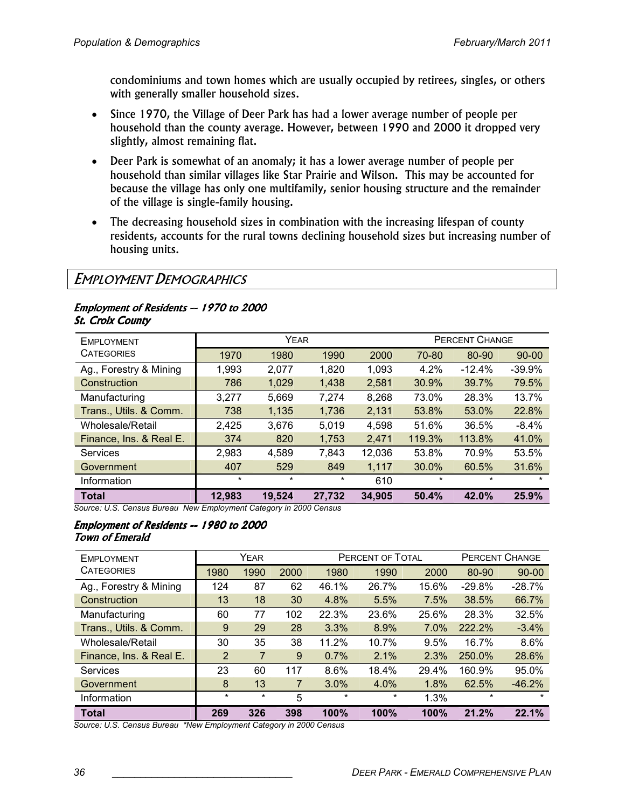condominiums and town homes which are usually occupied by retirees, singles, or others with generally smaller household sizes.

- Since 1970, the Village of Deer Park has had a lower average number of people per household than the county average. However, between 1990 and 2000 it dropped very slightly, almost remaining flat.
- Deer Park is somewhat of an anomaly; it has a lower average number of people per household than similar villages like Star Prairie and Wilson. This may be accounted for because the village has only one multifamily, senior housing structure and the remainder of the village is single-family housing.
- The decreasing household sizes in combination with the increasing lifespan of county residents, accounts for the rural towns declining household sizes but increasing number of housing units.

# EMPLOYMENT DEMOGRAPHICS

#### Employment of Residents -- 1970 to 2000 **St. Croix County**

| EMPLOYMENT                          |                             | <b>YEAR</b>                    |                               |        | <b>PERCENT CHANGE</b> |          |           |  |
|-------------------------------------|-----------------------------|--------------------------------|-------------------------------|--------|-----------------------|----------|-----------|--|
| <b>CATEGORIES</b>                   | 1970                        | 1980                           | 1990                          | 2000   | 70-80                 | 80-90    | $90 - 00$ |  |
| Ag., Forestry & Mining              | 1,993                       | 2,077                          | 1,820                         | 1,093  | 4.2%                  | $-12.4%$ | $-39.9%$  |  |
| Construction                        | 786                         | 1,029                          | 1,438                         | 2.581  | 30.9%                 | 39.7%    | 79.5%     |  |
| Manufacturing                       | 3,277                       | 5,669                          | 7,274                         | 8,268  | 73.0%                 | 28.3%    | 13.7%     |  |
| Trans., Utils. & Comm.              | 738                         | 1,135                          | 1,736                         | 2,131  | 53.8%                 | 53.0%    | 22.8%     |  |
| Wholesale/Retail                    | 2,425                       | 3,676                          | 5.019                         | 4.598  | 51.6%                 | 36.5%    | $-8.4\%$  |  |
| Finance, Ins. & Real E.             | 374                         | 820                            | 1,753                         | 2,471  | 119.3%                | 113.8%   | 41.0%     |  |
| <b>Services</b>                     | 2,983                       | 4,589                          | 7,843                         | 12,036 | 53.8%                 | 70.9%    | 53.5%     |  |
| Government                          | 407                         | 529                            | 849                           | 1,117  | 30.0%                 | 60.5%    | 31.6%     |  |
| Information                         | $\star$                     | $\star$                        | *                             | 610    | $\ast$                | *        | $\star$   |  |
| <b>Total</b><br>. <i></i><br>$\sim$ | 12,983<br>$\cdots$ $\cdots$ | 19,524<br>$\sim$ $\sim$ $\sim$ | 27,732<br>$\sim$ 0.000 $\sim$ | 34,905 | 50.4%                 | 42.0%    | 25.9%     |  |

Source: U.S. Census Bureau New Employment Category in 2000 Census

#### Employment of Residents -- 1980 to 2000 **Town of Emerald**

| <b>EMPLOYMENT</b>       |                | YEAR    |      |         | PERCENT OF TOTAL | <b>PERCENT CHANGE</b> |          |           |
|-------------------------|----------------|---------|------|---------|------------------|-----------------------|----------|-----------|
| <b>CATEGORIES</b>       | 1980           | 1990    | 2000 | 1980    | 1990             | 2000                  | 80-90    | $90 - 00$ |
| Ag., Forestry & Mining  | 124            | 87      | 62   | 46.1%   | 26.7%            | 15.6%                 | $-29.8%$ | $-28.7%$  |
| Construction            | 13             | 18      | 30   | 4.8%    | 5.5%             | 7.5%                  | 38.5%    | 66.7%     |
| Manufacturing           | 60             | 77      | 102  | 22.3%   | 23.6%            | 25.6%                 | 28.3%    | 32.5%     |
| Trans., Utils. & Comm.  | 9              | 29      | 28   | 3.3%    | 8.9%             | 7.0%                  | 222.2%   | $-3.4%$   |
| Wholesale/Retail        | 30             | 35      | 38   | 11.2%   | 10.7%            | 9.5%                  | 16.7%    | 8.6%      |
| Finance, Ins. & Real E. | $\overline{2}$ | 7       | 9    | 0.7%    | 2.1%             | 2.3%                  | 250.0%   | 28.6%     |
| Services                | 23             | 60      | 117  | 8.6%    | 18.4%            | 29.4%                 | 160.9%   | 95.0%     |
| Government              | 8              | 13      | 7    | 3.0%    | 4.0%             | 1.8%                  | 62.5%    | $-46.2%$  |
| Information             | $\star$        | $\star$ | 5    | $\star$ | $\star$          | 1.3%                  | $\star$  | $\star$   |
| <b>Total</b>            | 269            | 326     | 398  | 100%    | 100%             | 100%                  | 21.2%    | 22.1%     |

Source: U.S. Census Bureau \*New Employment Category in 2000 Census